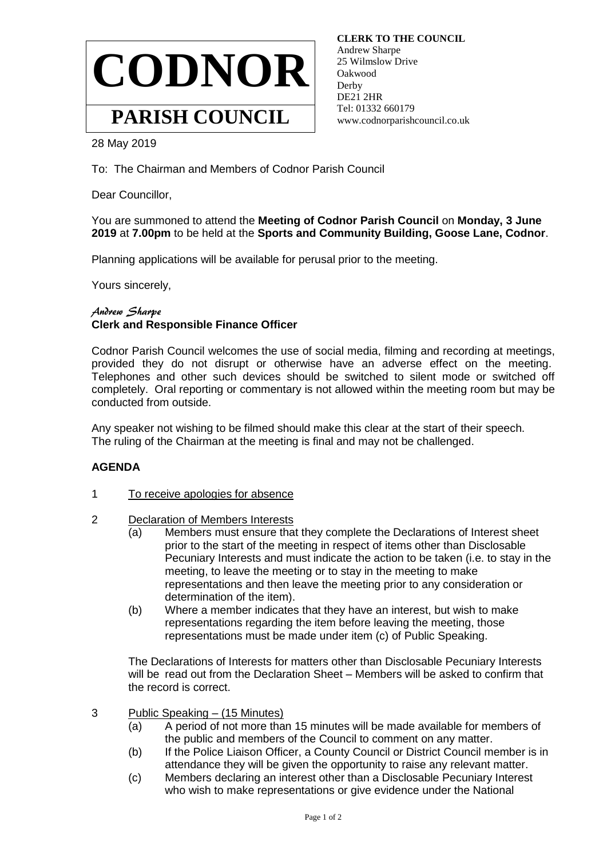

 **CLERK TO THE COUNCIL** Andrew Sharpe 25 Wilmslow Drive Oakwood **Derby**  DE21 2HR Tel: 01332 660179 www.codnorparishcouncil.co.uk

28 May 2019

To: The Chairman and Members of Codnor Parish Council

Dear Councillor,

You are summoned to attend the **Meeting of Codnor Parish Council** on **Monday, 3 June 2019** at **7.00pm** to be held at the **Sports and Community Building, Goose Lane, Codnor**.

Planning applications will be available for perusal prior to the meeting.

Yours sincerely,

## Andrew Sharpe **Clerk and Responsible Finance Officer**

Codnor Parish Council welcomes the use of social media, filming and recording at meetings, provided they do not disrupt or otherwise have an adverse effect on the meeting. Telephones and other such devices should be switched to silent mode or switched off completely. Oral reporting or commentary is not allowed within the meeting room but may be conducted from outside.

Any speaker not wishing to be filmed should make this clear at the start of their speech. The ruling of the Chairman at the meeting is final and may not be challenged.

## **AGENDA**

- 1 To receive apologies for absence
- 2 Declaration of Members Interests
	- (a) Members must ensure that they complete the Declarations of Interest sheet prior to the start of the meeting in respect of items other than Disclosable Pecuniary Interests and must indicate the action to be taken (i.e. to stay in the meeting, to leave the meeting or to stay in the meeting to make representations and then leave the meeting prior to any consideration or determination of the item).
	- (b) Where a member indicates that they have an interest, but wish to make representations regarding the item before leaving the meeting, those representations must be made under item (c) of Public Speaking.

The Declarations of Interests for matters other than Disclosable Pecuniary Interests will be read out from the Declaration Sheet – Members will be asked to confirm that the record is correct.

- 3 Public Speaking (15 Minutes)
	- (a) A period of not more than 15 minutes will be made available for members of the public and members of the Council to comment on any matter.
	- (b) If the Police Liaison Officer, a County Council or District Council member is in attendance they will be given the opportunity to raise any relevant matter.
	- (c) Members declaring an interest other than a Disclosable Pecuniary Interest who wish to make representations or give evidence under the National